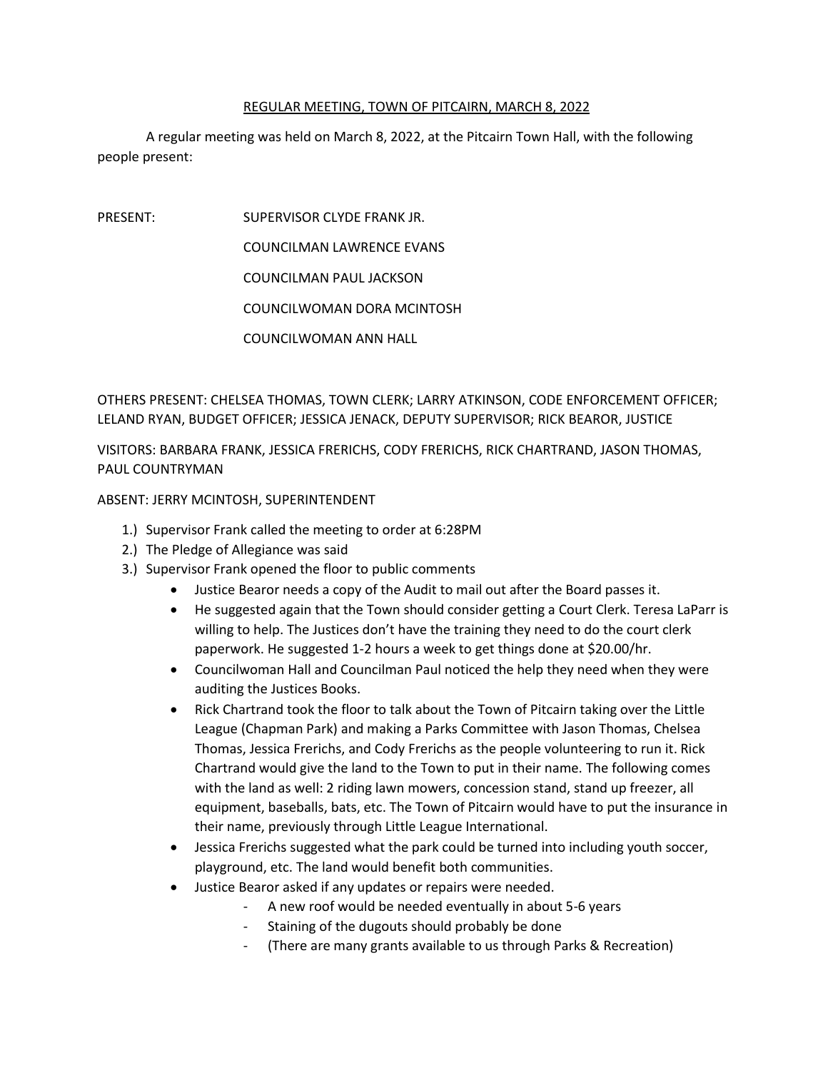## REGULAR MEETING, TOWN OF PITCAIRN, MARCH 8, 2022

A regular meeting was held on March 8, 2022, at the Pitcairn Town Hall, with the following people present:

PRESENT: SUPERVISOR CLYDE FRANK JR.

COUNCILMAN LAWRENCE EVANS

COUNCILMAN PAUL JACKSON

COUNCILWOMAN DORA MCINTOSH

COUNCILWOMAN ANN HALL

OTHERS PRESENT: CHELSEA THOMAS, TOWN CLERK; LARRY ATKINSON, CODE ENFORCEMENT OFFICER; LELAND RYAN, BUDGET OFFICER; JESSICA JENACK, DEPUTY SUPERVISOR; RICK BEAROR, JUSTICE

VISITORS: BARBARA FRANK, JESSICA FRERICHS, CODY FRERICHS, RICK CHARTRAND, JASON THOMAS, PAUL COUNTRYMAN

## ABSENT: JERRY MCINTOSH, SUPERINTENDENT

- 1.) Supervisor Frank called the meeting to order at 6:28PM
- 2.) The Pledge of Allegiance was said
- 3.) Supervisor Frank opened the floor to public comments
	- Justice Bearor needs a copy of the Audit to mail out after the Board passes it.
	- He suggested again that the Town should consider getting a Court Clerk. Teresa LaParr is willing to help. The Justices don't have the training they need to do the court clerk paperwork. He suggested 1-2 hours a week to get things done at \$20.00/hr.
	- Councilwoman Hall and Councilman Paul noticed the help they need when they were auditing the Justices Books.
	- Rick Chartrand took the floor to talk about the Town of Pitcairn taking over the Little League (Chapman Park) and making a Parks Committee with Jason Thomas, Chelsea Thomas, Jessica Frerichs, and Cody Frerichs as the people volunteering to run it. Rick Chartrand would give the land to the Town to put in their name. The following comes with the land as well: 2 riding lawn mowers, concession stand, stand up freezer, all equipment, baseballs, bats, etc. The Town of Pitcairn would have to put the insurance in their name, previously through Little League International.
	- Jessica Frerichs suggested what the park could be turned into including youth soccer, playground, etc. The land would benefit both communities.
	- Justice Bearor asked if any updates or repairs were needed.
		- A new roof would be needed eventually in about 5-6 years
		- Staining of the dugouts should probably be done
		- (There are many grants available to us through Parks & Recreation)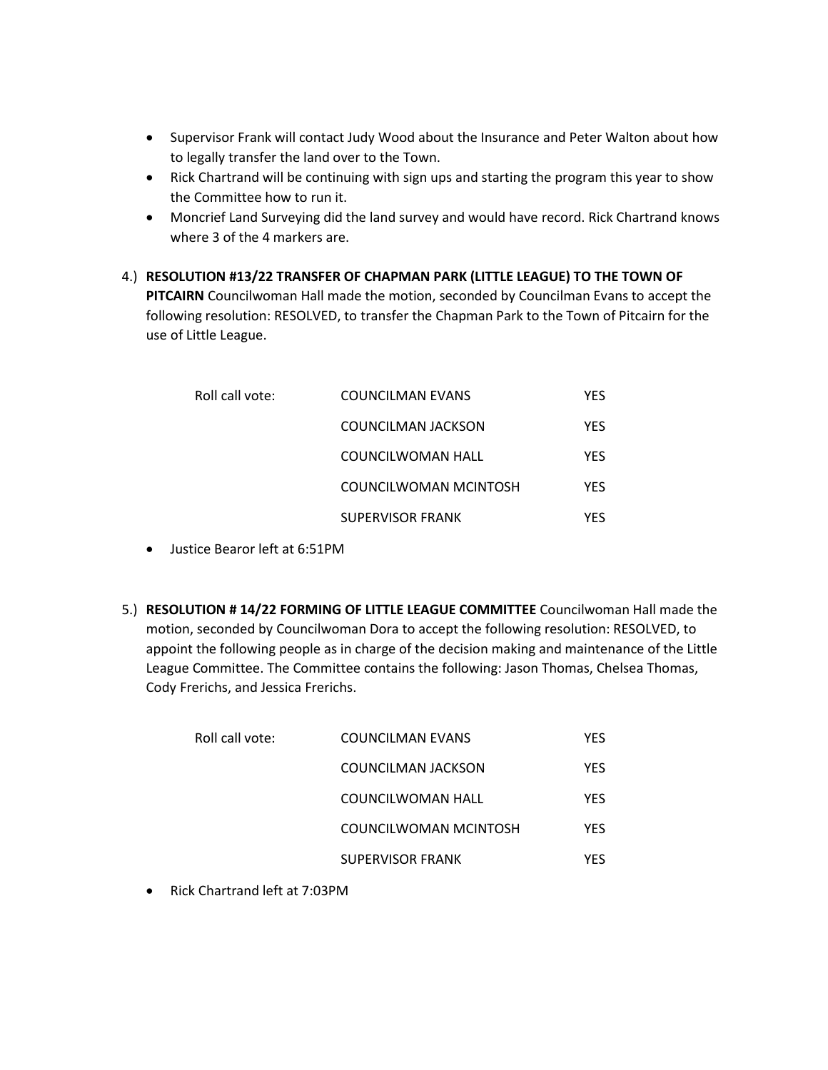- Supervisor Frank will contact Judy Wood about the Insurance and Peter Walton about how to legally transfer the land over to the Town.
- Rick Chartrand will be continuing with sign ups and starting the program this year to show the Committee how to run it.
- Moncrief Land Surveying did the land survey and would have record. Rick Chartrand knows where 3 of the 4 markers are.
- 4.) **RESOLUTION #13/22 TRANSFER OF CHAPMAN PARK (LITTLE LEAGUE) TO THE TOWN OF PITCAIRN** Councilwoman Hall made the motion, seconded by Councilman Evans to accept the following resolution: RESOLVED, to transfer the Chapman Park to the Town of Pitcairn for the use of Little League.

| Roll call vote: | COUNCILMAN EVANS        | YES        |
|-----------------|-------------------------|------------|
|                 | COUNCILMAN JACKSON      | <b>YFS</b> |
|                 | COUNCILWOMAN HALL       | <b>YFS</b> |
|                 | COUNCILWOMAN MCINTOSH   | <b>YFS</b> |
|                 | <b>SUPERVISOR FRANK</b> | YFS        |

- Justice Bearor left at 6:51PM
- 5.) **RESOLUTION # 14/22 FORMING OF LITTLE LEAGUE COMMITTEE** Councilwoman Hall made the motion, seconded by Councilwoman Dora to accept the following resolution: RESOLVED, to appoint the following people as in charge of the decision making and maintenance of the Little League Committee. The Committee contains the following: Jason Thomas, Chelsea Thomas, Cody Frerichs, and Jessica Frerichs.

| COUNCILMAN EVANS        | YFS |
|-------------------------|-----|
| COUNCILMAN JACKSON      | YES |
| COUNCILWOMAN HALL       | YFS |
| COUNCILWOMAN MCINTOSH   | YFS |
| <b>SUPERVISOR FRANK</b> | YFS |
|                         |     |

• Rick Chartrand left at 7:03PM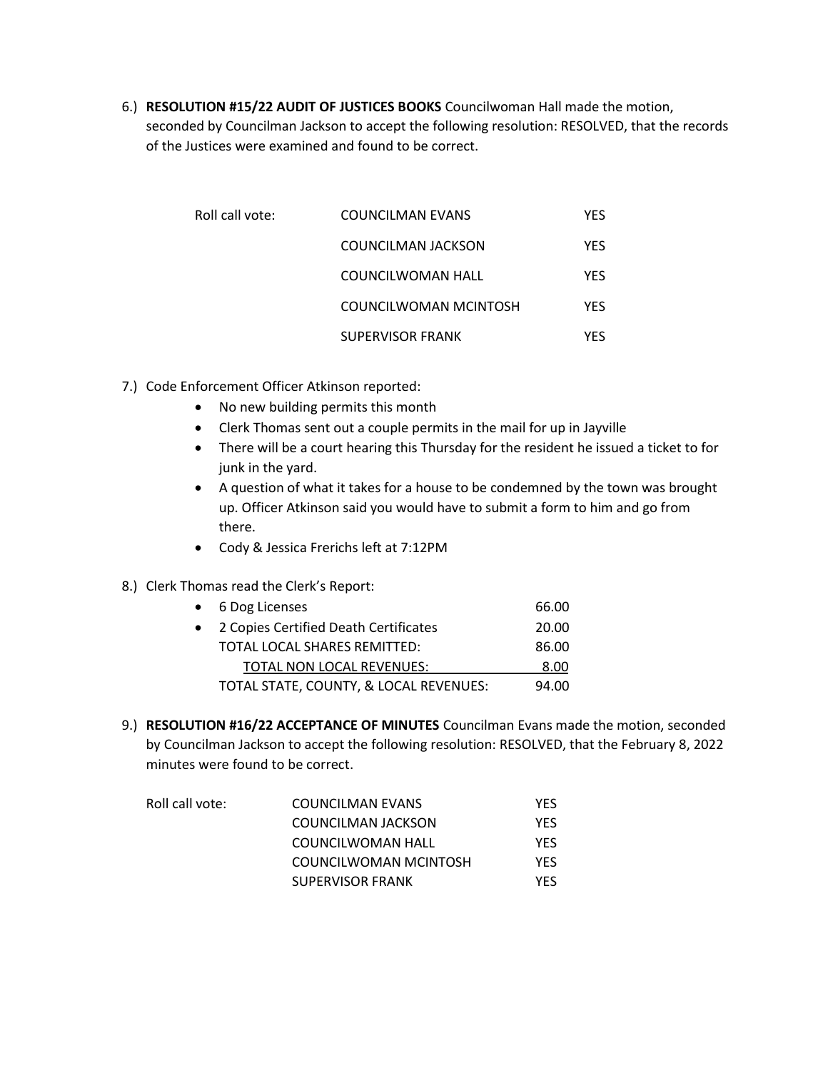6.) **RESOLUTION #15/22 AUDIT OF JUSTICES BOOKS** Councilwoman Hall made the motion, seconded by Councilman Jackson to accept the following resolution: RESOLVED, that the records of the Justices were examined and found to be correct.

| Roll call vote: | COUNCILMAN EVANS        | YES |
|-----------------|-------------------------|-----|
|                 | COUNCILMAN JACKSON      | YES |
|                 | COUNCILWOMAN HALL       | YES |
|                 | COUNCILWOMAN MCINTOSH   | YES |
|                 | <b>SUPERVISOR FRANK</b> | YFS |

- 7.) Code Enforcement Officer Atkinson reported:
	- No new building permits this month
	- Clerk Thomas sent out a couple permits in the mail for up in Jayville
	- There will be a court hearing this Thursday for the resident he issued a ticket to for junk in the yard.
	- A question of what it takes for a house to be condemned by the town was brought up. Officer Atkinson said you would have to submit a form to him and go from there.
	- Cody & Jessica Frerichs left at 7:12PM
- 8.) Clerk Thomas read the Clerk's Report:

|           | • 6 Dog Licenses                       | 66.00 |
|-----------|----------------------------------------|-------|
| $\bullet$ | 2 Copies Certified Death Certificates  | 20.00 |
|           | TOTAL LOCAL SHARES REMITTED:           | 86.00 |
|           | TOTAL NON LOCAL REVENUES:              | 8.00  |
|           | TOTAL STATE, COUNTY, & LOCAL REVENUES: | 94.00 |

9.) **RESOLUTION #16/22 ACCEPTANCE OF MINUTES** Councilman Evans made the motion, seconded by Councilman Jackson to accept the following resolution: RESOLVED, that the February 8, 2022 minutes were found to be correct.

| Roll call vote: | COUNCILMAN EVANS        | YFS  |
|-----------------|-------------------------|------|
|                 | COUNCILMAN JACKSON      | YFS  |
|                 | COUNCILWOMAN HALL       | YFS  |
|                 | COUNCILWOMAN MCINTOSH   | YFS. |
|                 | <b>SUPERVISOR FRANK</b> | YFS. |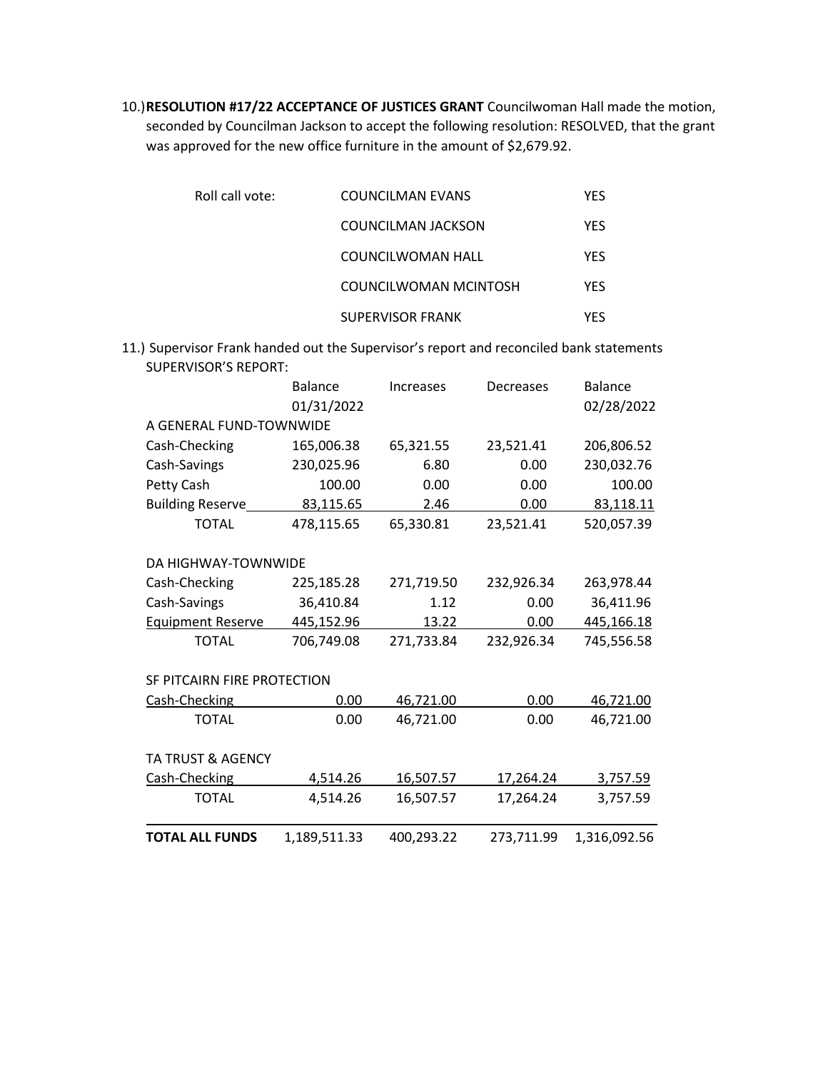10.)**RESOLUTION #17/22 ACCEPTANCE OF JUSTICES GRANT** Councilwoman Hall made the motion, seconded by Councilman Jackson to accept the following resolution: RESOLVED, that the grant was approved for the new office furniture in the amount of \$2,679.92.

| Roll call vote: | COUNCILMAN EVANS          | <b>YFS</b> |
|-----------------|---------------------------|------------|
|                 | <b>COUNCILMAN JACKSON</b> | <b>YFS</b> |
|                 | COUNCILWOMAN HALL         | <b>YFS</b> |
|                 | COUNCILWOMAN MCINTOSH     | <b>YFS</b> |
|                 | <b>SUPERVISOR FRANK</b>   | YFS        |

11.) Supervisor Frank handed out the Supervisor's report and reconciled bank statements SUPERVISOR'S REPORT:

|                              | <b>Balance</b><br>01/31/2022 | <b>Increases</b> | Decreases  | <b>Balance</b><br>02/28/2022 |
|------------------------------|------------------------------|------------------|------------|------------------------------|
| A GENERAL FUND-TOWNWIDE      |                              |                  |            |                              |
| Cash-Checking                | 165,006.38                   | 65,321.55        | 23,521.41  | 206,806.52                   |
| Cash-Savings                 | 230,025.96                   | 6.80             | 0.00       | 230,032.76                   |
| Petty Cash                   | 100.00                       | 0.00             | 0.00       | 100.00                       |
| <b>Building Reserve</b>      | 83,115.65                    | 2.46             | 0.00       | 83,118.11                    |
| <b>TOTAL</b>                 | 478,115.65                   | 65,330.81        | 23,521.41  | 520,057.39                   |
|                              |                              |                  |            |                              |
| DA HIGHWAY-TOWNWIDE          |                              |                  |            |                              |
| Cash-Checking                | 225,185.28                   | 271,719.50       | 232,926.34 | 263,978.44                   |
| Cash-Savings                 | 36,410.84                    | 1.12             | 0.00       | 36,411.96                    |
| <b>Equipment Reserve</b>     | 445,152.96                   | 13.22            | 0.00       | 445,166.18                   |
| <b>TOTAL</b>                 | 706,749.08                   | 271,733.84       | 232,926.34 | 745,556.58                   |
|                              |                              |                  |            |                              |
| SF PITCAIRN FIRE PROTECTION  |                              |                  |            |                              |
| Cash-Checking                | 0.00                         | 46,721.00        | 0.00       | 46,721.00                    |
| <b>TOTAL</b>                 | 0.00                         | 46,721.00        | 0.00       | 46,721.00                    |
|                              |                              |                  |            |                              |
| <b>TA TRUST &amp; AGENCY</b> |                              |                  |            |                              |
| Cash-Checking                | 4,514.26                     | 16,507.57        | 17,264.24  | 3,757.59                     |
| <b>TOTAL</b>                 | 4,514.26                     | 16,507.57        | 17,264.24  | 3,757.59                     |
|                              |                              |                  |            |                              |
| <b>TOTAL ALL FUNDS</b>       | 1,189,511.33                 | 400,293.22       | 273,711.99 | 1,316,092.56                 |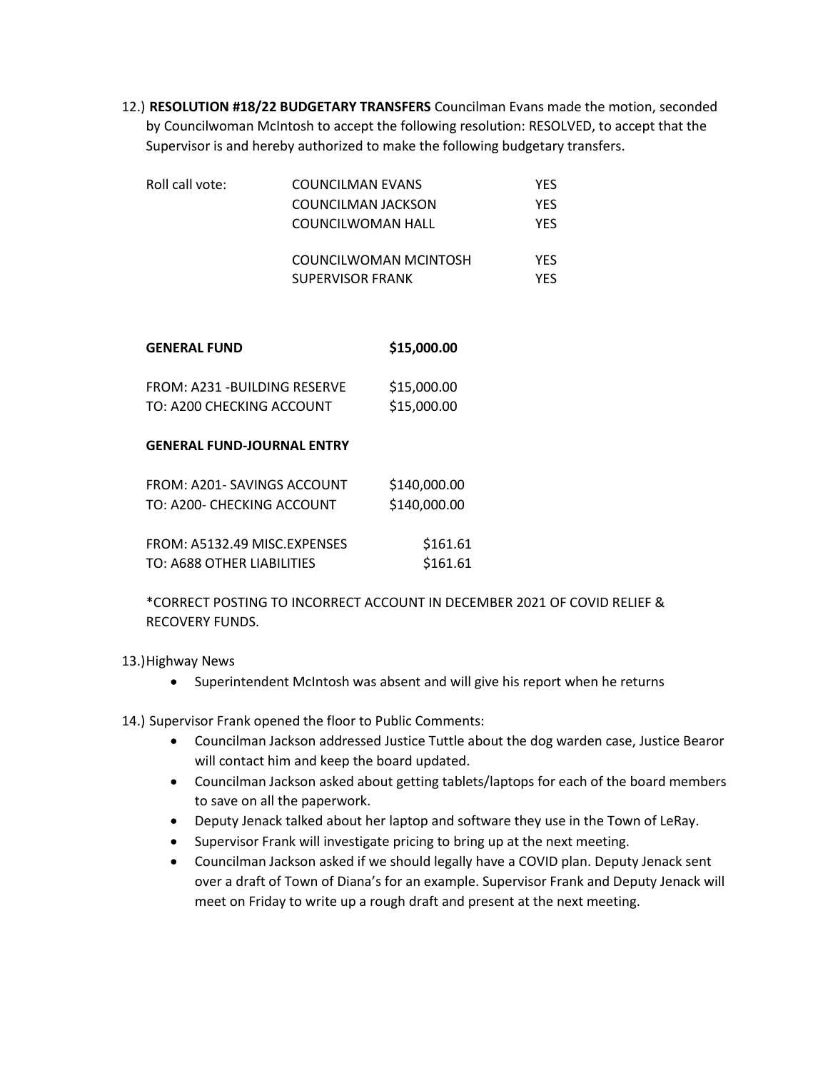12.) **RESOLUTION #18/22 BUDGETARY TRANSFERS** Councilman Evans made the motion, seconded by Councilwoman McIntosh to accept the following resolution: RESOLVED, to accept that the Supervisor is and hereby authorized to make the following budgetary transfers.

| Roll call vote: | COUNCILMAN EVANS      | YFS |
|-----------------|-----------------------|-----|
|                 | COUNCILMAN JACKSON    | YFS |
|                 | COUNCILWOMAN HALL     | YES |
|                 | COUNCILWOMAN MCINTOSH | YFS |
|                 | SUPERVISOR FRANK      | YFS |

| <b>GENERAL FUND</b>           | \$15,000.00 |  |
|-------------------------------|-------------|--|
| FROM: A231 - BUILDING RESERVE | \$15,000.00 |  |
| TO: A200 CHECKING ACCOUNT     | \$15,000.00 |  |

## **GENERAL FUND-JOURNAL ENTRY**

| FROM: A201- SAVINGS ACCOUNT  | \$140,000.00 |
|------------------------------|--------------|
| TO: A200- CHECKING ACCOUNT   | \$140,000.00 |
| FROM: A5132.49 MISC.EXPENSES | \$161.61     |
| TO: A688 OTHER LIABILITIES   | \$161.61     |

\*CORRECT POSTING TO INCORRECT ACCOUNT IN DECEMBER 2021 OF COVID RELIEF & RECOVERY FUNDS.

13.)Highway News

• Superintendent McIntosh was absent and will give his report when he returns

14.) Supervisor Frank opened the floor to Public Comments:

- Councilman Jackson addressed Justice Tuttle about the dog warden case, Justice Bearor will contact him and keep the board updated.
- Councilman Jackson asked about getting tablets/laptops for each of the board members to save on all the paperwork.
- Deputy Jenack talked about her laptop and software they use in the Town of LeRay.
- Supervisor Frank will investigate pricing to bring up at the next meeting.
- Councilman Jackson asked if we should legally have a COVID plan. Deputy Jenack sent over a draft of Town of Diana's for an example. Supervisor Frank and Deputy Jenack will meet on Friday to write up a rough draft and present at the next meeting.